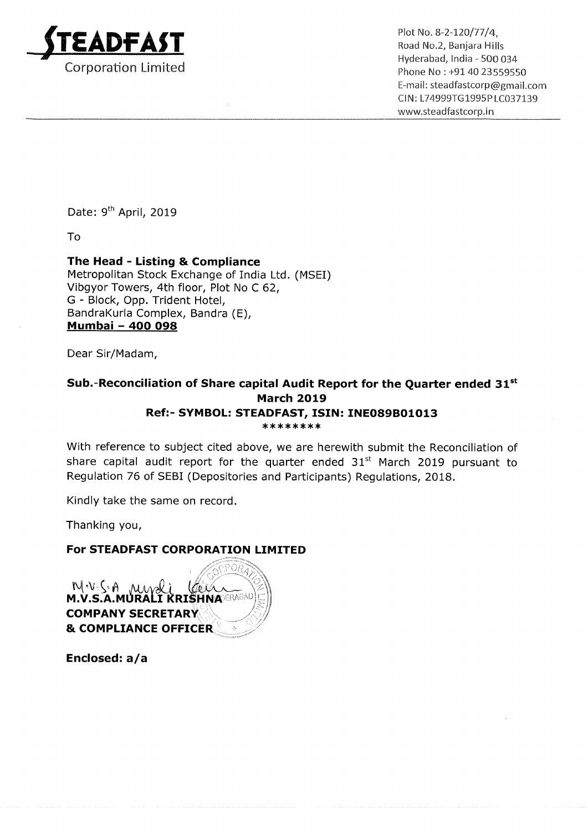

Liverapad, mula - 500 054<br>Corporation Limited **Exercise 2006** 2007 2010 Phone No : +91 40 23559550 Hyderabad, lndia — 500 034 E-mail: steadfastcorp@gmail.com CIN: L74999T61995PLC037139 www.5teadfastcorp.in

Date: 9<sup>th</sup> April, 2019

To

The Head - Listing & Compliance Metropolitan Stock Exchange of India Ltd. (MSEI) Vibgyor Towers, 4th floor, Plot No <sup>C</sup> 62, G - Block, Opp. Trident Hotel, BandraKurla Complex, Bandra (E), <u> Bandra</u>kuna Comple<br><u>Mumbai – 400 098</u>

Dear Sir/Madam,

## Sub.-Reconciliation of Share capital Audit Report for the Quarter ended  $31^{st}$ March 2019 Ref:- SYMBOL: STEADFAST, ISIN: INE089801013 \*\*\*\*\*\*\*\*

With reference to subject cited above, we are herewith submit the Reconciliation of share capital audit report for the quarter ended  $31<sup>st</sup>$  March 2019 pursuant to Regulation 76 of SEBI (Depositories and Participants) Regulations, 2018.

Kindly take the same on record.

Thanking you,

## For STEADFAST CORPORATION LIMITED

NWSA MWLI COLL COMPANY SECRETARY & COMPLIANCE OFFICER

Enclosed: a/a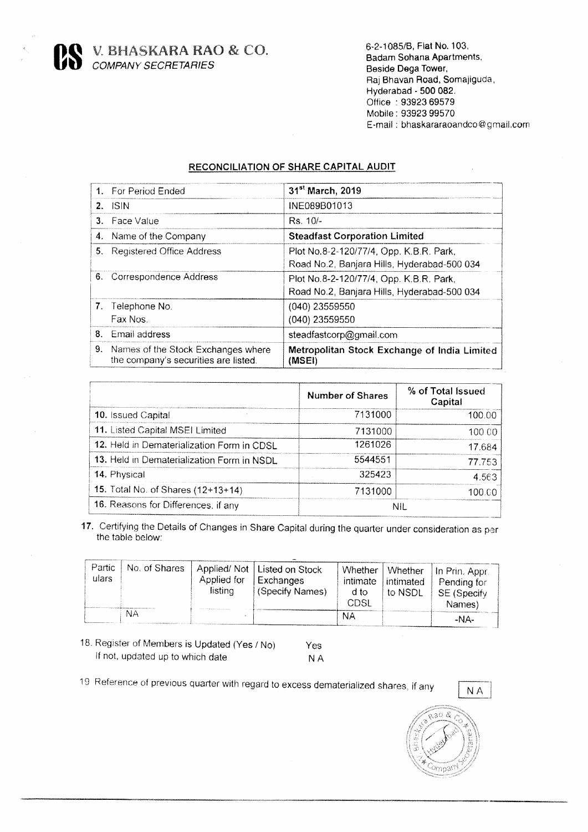V. BHASKARA RAO & CO.<br>COMPANY SECRETARIES

6-2-1085/B, Flat No. 103, Badam Sohana Apartments, Beside Dega Tower, Raj Bhavan Road, Somajiguda, Hyderabad - 500 082. Office: 93923 69579 Mobile: 93923 99570 E-mail: bhaskararaoandco@gmail.com

## RECONCILIATION OF SHARE CAPITAL AUDIT

|    | 1. For Period Ended                                                        | 31 <sup>st</sup> March, 2019                                                           |
|----|----------------------------------------------------------------------------|----------------------------------------------------------------------------------------|
|    | $2.$ ISIN                                                                  | INE089B01013                                                                           |
|    | 3. Face Value                                                              | $Rs. 10/-$                                                                             |
|    | 4. Name of the Company                                                     | <b>Steadfast Corporation Limited</b>                                                   |
| 5. | <b>Registered Office Address</b>                                           | Plot No.8-2-120/77/4, Opp. K.B.R. Park,<br>Road No.2, Banjara Hills, Hyderabad-500 034 |
|    | 6. Correspondence Address                                                  | Plot No.8-2-120/77/4, Opp. K.B.R. Park,<br>Road No.2, Banjara Hills, Hyderabad-500 034 |
|    | 7. Telephone No.                                                           | $(040)$ 23559550                                                                       |
|    | Fax Nos.                                                                   | (040) 23559550                                                                         |
|    | 8. Email address                                                           | steadfastcorp@gmail.com                                                                |
| 9. | Names of the Stock Exchanges where<br>the company's securities are listed. | Metropolitan Stock Exchange of India Limited<br>(MSEI)                                 |

|                                            | <b>Number of Shares</b> | % of Total Issued<br>Capital |
|--------------------------------------------|-------------------------|------------------------------|
| 10. Issued Capital                         | 7131000                 | 100.00                       |
| 11. Listed Capital MSEI Limited            | 7131000                 | 100 OO                       |
| 12. Held in Dematerialization Form in CDSL | 1261026                 | 17.684                       |
| 13. Held in Dematerialization Form in NSDL | 5544551                 | 77.753                       |
| 14. Physical                               | 325423                  | 4.563                        |
| 15. Total No. of Shares (12+13+14)         | 7131000                 | 100 CC                       |
| 16. Reasons for Differences, if any        |                         | NII.                         |

17. Certifying the Details of Changes in Share Capital during the quarter under consideration as per the table below:

| Partic<br>ulars | No. of Shares | Applied for<br>listina | Applied/Not   Listed on Stock<br><b>Exchanges</b><br>(Specify Names) | Whether<br>intimate<br>d to<br>CDSI. | intimated<br>to NSDL | Whether   In Prin, Appr.<br>Pending for<br>SE (Specify<br>Names) |
|-----------------|---------------|------------------------|----------------------------------------------------------------------|--------------------------------------|----------------------|------------------------------------------------------------------|
|                 | NА            |                        |                                                                      | NΑ                                   |                      | -NA-                                                             |

18. Register of Members is Updated (Yes / No) If not, updated up to which date

Yes **NA** 

19 Reference of previous quarter with regard to excess dematerialized shares, if any





 $\hat{\boldsymbol{\beta}}$